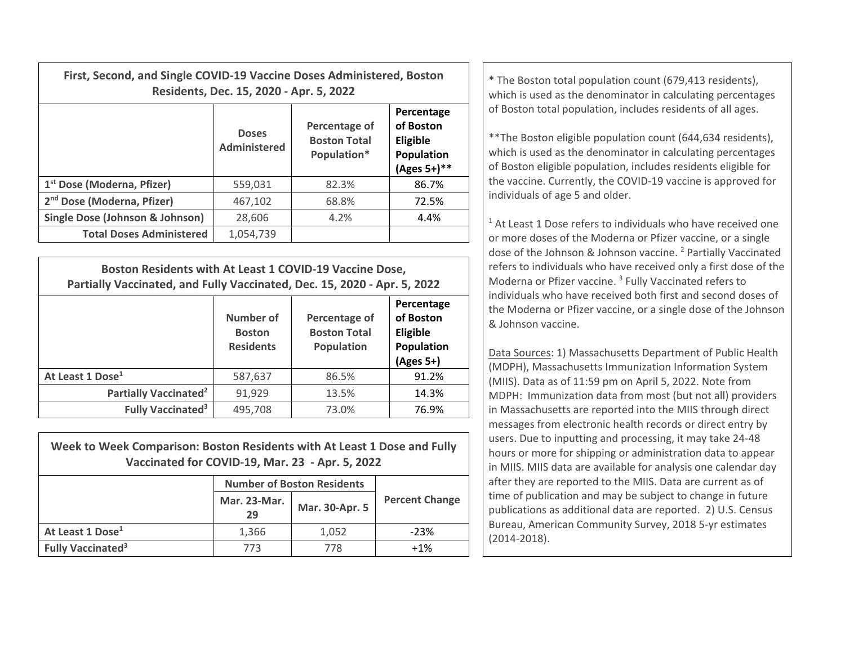| First, Second, and Single COVID-19 Vaccine Doses Administered, Boston<br>Residents, Dec. 15, 2020 - Apr. 5, 2022 |                              |                                                     |                                                                            | * The Boston total population count (679,413 residents),<br>which is used as the denominator in calculating percentages                                                                                                                                      |
|------------------------------------------------------------------------------------------------------------------|------------------------------|-----------------------------------------------------|----------------------------------------------------------------------------|--------------------------------------------------------------------------------------------------------------------------------------------------------------------------------------------------------------------------------------------------------------|
|                                                                                                                  | <b>Doses</b><br>Administered | Percentage of<br><b>Boston Total</b><br>Population* | Percentage<br>of Boston<br><b>Eligible</b><br>Population<br>$(Ages 5+)$ ** | of Boston total population, includes residents of all ages.<br>** The Boston eligible population count (644,634 residents),<br>which is used as the denominator in calculating percentages<br>of Boston eligible population, includes residents eligible for |
| 1 <sup>st</sup> Dose (Moderna, Pfizer)                                                                           | 559,031                      | 82.3%                                               | 86.7%                                                                      | the vaccine. Currently, the COVID-19 vaccine is approved for                                                                                                                                                                                                 |
| 2 <sup>nd</sup> Dose (Moderna, Pfizer)                                                                           | 467,102                      | 68.8%                                               | 72.5%                                                                      | individuals of age 5 and older.                                                                                                                                                                                                                              |
| Single Dose (Johnson & Johnson)                                                                                  | 28,606                       | 4.2%                                                | 4.4%                                                                       | <sup>1</sup> At Least 1 Dose refers to individuals who have received on                                                                                                                                                                                      |
| <b>Total Doses Administered</b>                                                                                  | 1,054,739                    |                                                     |                                                                            | or more doses of the Moderna or Pfizer vaccine, or a single                                                                                                                                                                                                  |

| Boston Residents with At Least 1 COVID-19 Vaccine Dose,<br>Partially Vaccinated, and Fully Vaccinated, Dec. 15, 2020 - Apr. 5, 2022 |                                                |                                                           |                                                                  |  |  |
|-------------------------------------------------------------------------------------------------------------------------------------|------------------------------------------------|-----------------------------------------------------------|------------------------------------------------------------------|--|--|
|                                                                                                                                     | Number of<br><b>Boston</b><br><b>Residents</b> | Percentage of<br><b>Boston Total</b><br><b>Population</b> | Percentage<br>of Boston<br>Eligible<br>Population<br>$(Ages 5+)$ |  |  |
| At Least 1 Dose <sup>1</sup>                                                                                                        | 587,637                                        | 86.5%                                                     | 91.2%                                                            |  |  |
| Partially Vaccinated <sup>2</sup>                                                                                                   | 91,929                                         | 13.5%                                                     | 14.3%                                                            |  |  |
| Fully Vaccinated <sup>3</sup>                                                                                                       | 495,708                                        | 73.0%                                                     | 76.9%                                                            |  |  |

| Week to Week Comparison: Boston Residents with At Least 1 Dose and Fully<br>Vaccinated for COVID-19, Mar. 23 - Apr. 5, 2022 |                                   |                |                       |  |  |
|-----------------------------------------------------------------------------------------------------------------------------|-----------------------------------|----------------|-----------------------|--|--|
|                                                                                                                             | <b>Number of Boston Residents</b> |                |                       |  |  |
|                                                                                                                             | Mar. 23-Mar.<br>29                | Mar. 30-Apr. 5 | <b>Percent Change</b> |  |  |
| At Least 1 Dose <sup>1</sup>                                                                                                | 1.366                             | 1.052          | $-23%$                |  |  |
| <b>Fully Vaccinated<sup>3</sup></b>                                                                                         | 773                               | 778            | $+1%$                 |  |  |

 $1$  At Least 1 Dose refers to individuals who have received one or more doses of the Moderna or Pfizer vaccine, or <sup>a</sup> single dose of the Johnson & Johnson vaccine. <sup>2</sup> Partially Vaccinated refers to individuals who have received only <sup>a</sup> first dose of the Moderna or Pfizer vaccine. <sup>3</sup> Fully Vaccinated refers to individuals who have received both first and second doses of the Moderna or Pfizer vaccine, or <sup>a</sup> single dose of the Johnson & Johnson vaccine.

Data Sources: 1) Massachusetts Department of Public Health (MDPH), Massachusetts Immunization Information System (MIIS). Data as of 11:59 pm on April 5, 2022. Note from MDPH: Immunization data from most (but not all) providers in Massachusetts are reported into the MIIS through direct messages from electronic health records or direct entry by users. Due to inputting and processing, it may take 24‐48 hours or more for shipping or administration data to appear in MIIS. MIIS data are available for analysis one calendar day after they are reported to the MIIS. Data are current as of time of publication and may be subject to change in future publications as additional data are reported. 2) U.S. Census Bureau, American Community Survey, 2018 5‐yr estimates (2014‐2018).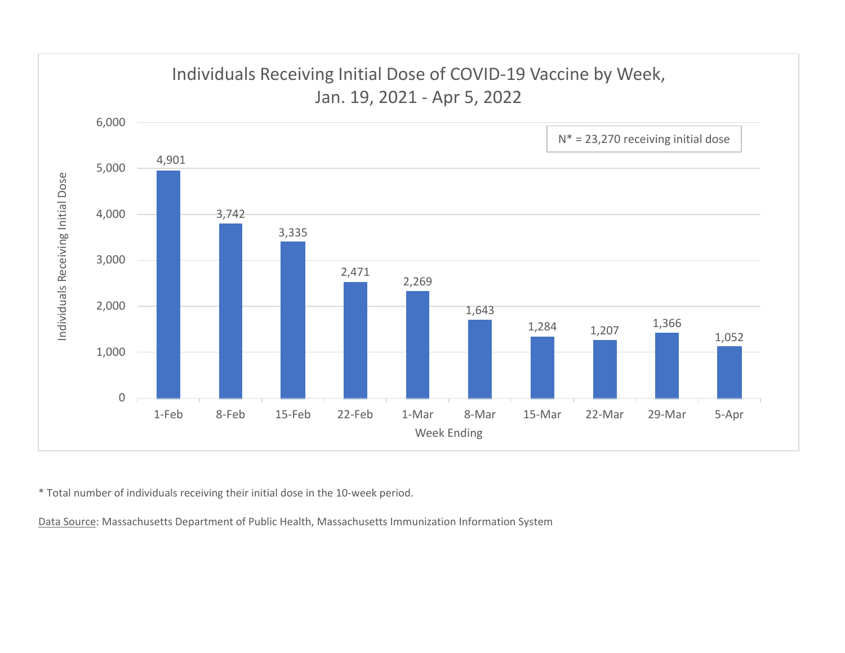

\* Total number of individuals receiving their initial dose in the 10‐week period.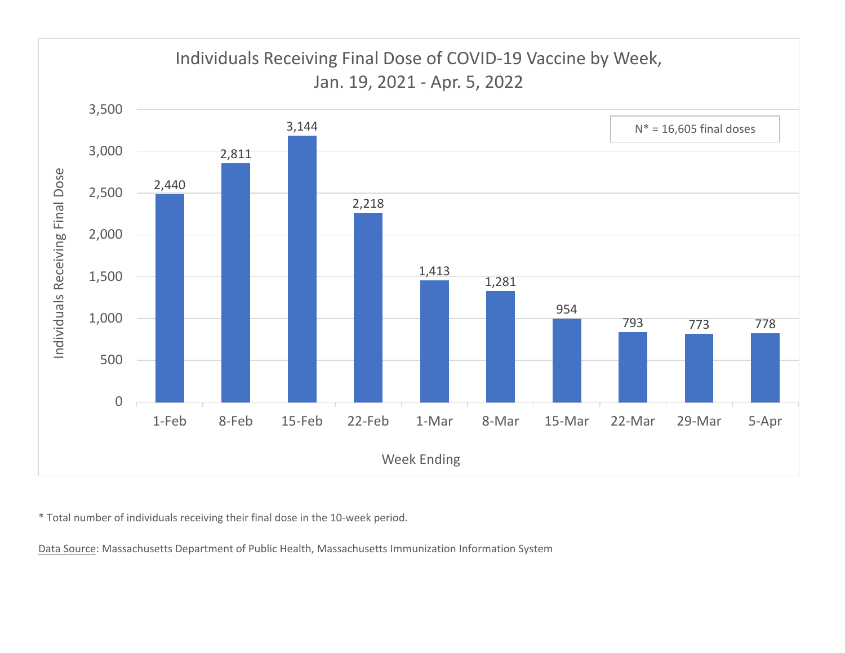

\* Total number of individuals receiving their final dose in the 10‐week period.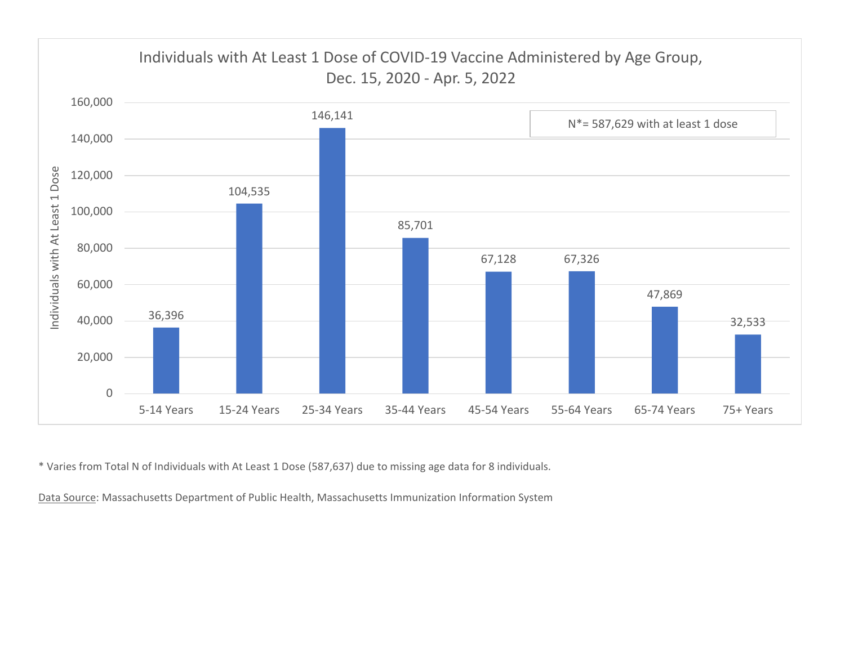

\* Varies from Total N of Individuals with At Least 1 Dose (587,637) due to missing age data for 8 individuals.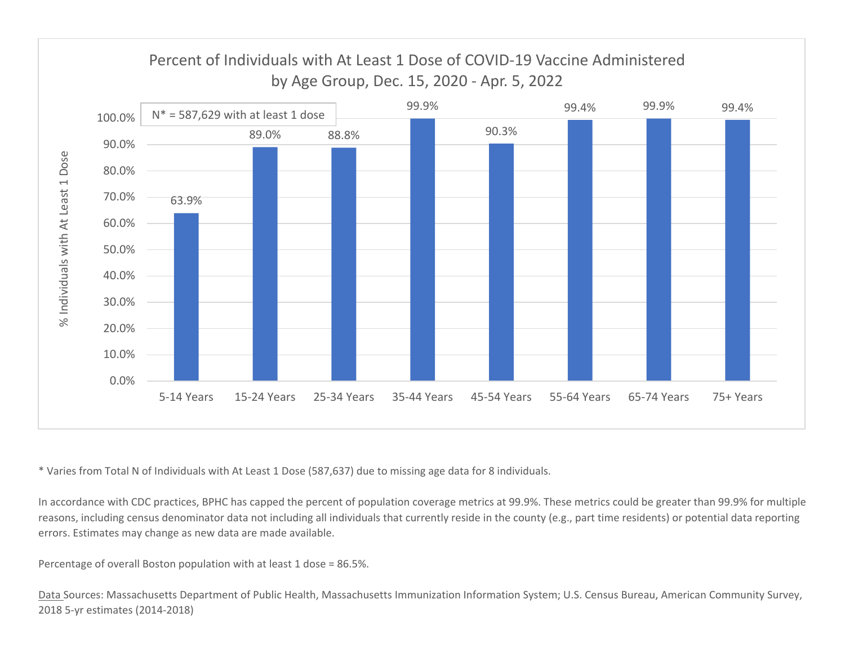

\* Varies from Total N of Individuals with At Least 1 Dose (587,637) due to missing age data for 8 individuals.

In accordance with CDC practices, BPHC has capped the percent of population coverage metrics at 99.9%. These metrics could be greater than 99.9% for multiple reasons, including census denominator data not including all individuals that currently reside in the county (e.g., part time residents) or potential data reporting errors. Estimates may change as new data are made available.

Percentage of overall Boston population with at least 1 dose <sup>=</sup> 86.5%.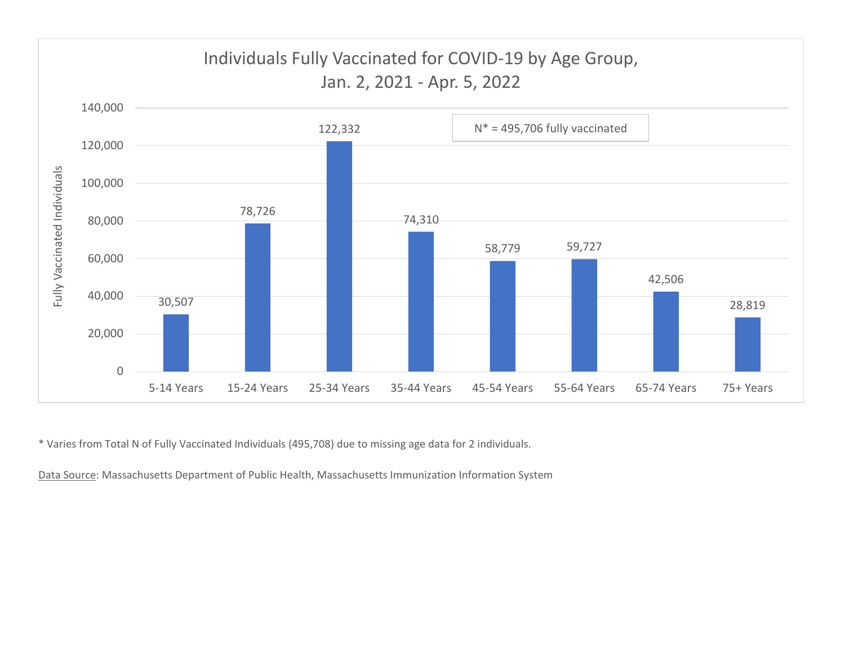

\* Varies from Total N of Fully Vaccinated Individuals (495,708) due to missing age data for 2 individuals.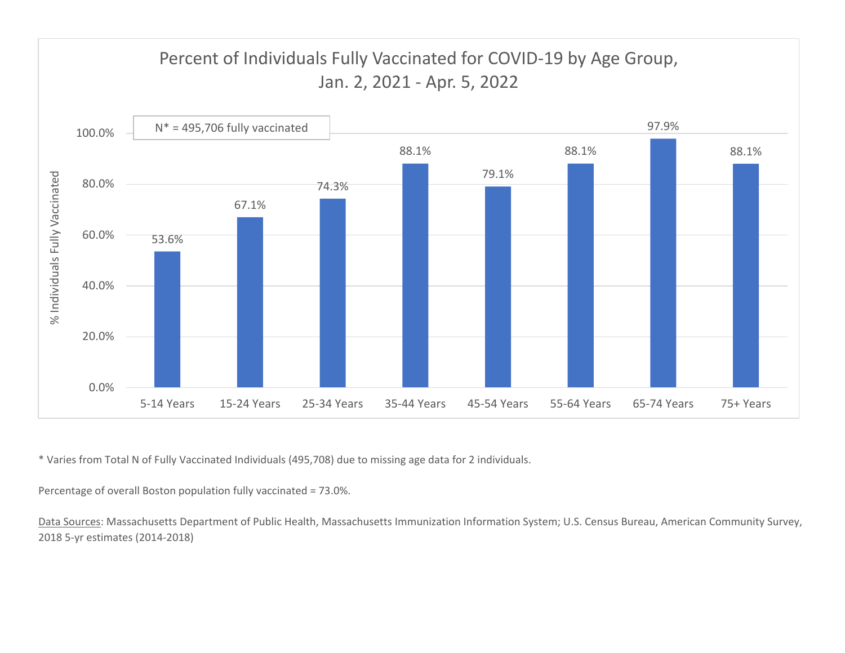

\* Varies from Total N of Fully Vaccinated Individuals (495,708) due to missing age data for 2 individuals.

Percentage of overall Boston population fully vaccinated <sup>=</sup> 73.0%.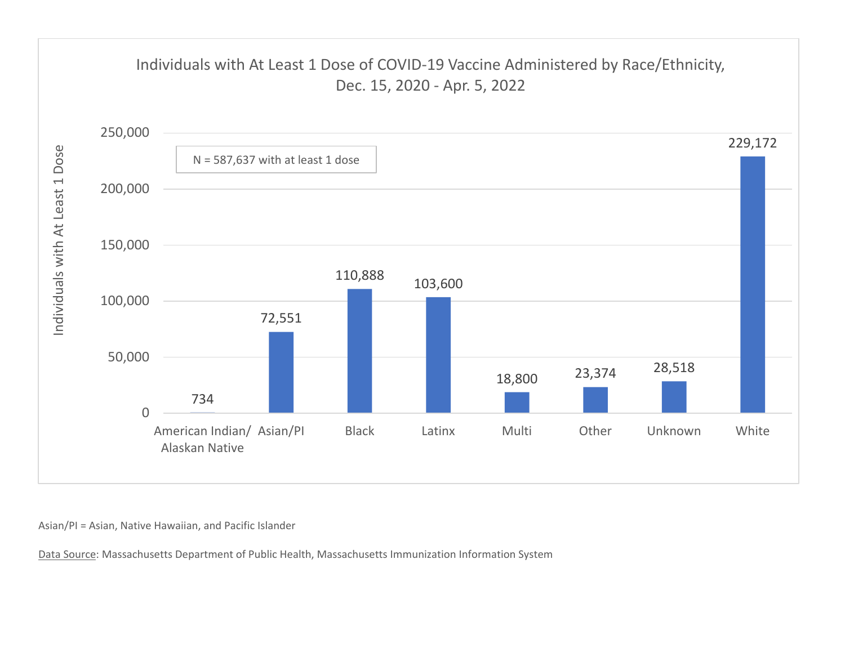

Asian/PI <sup>=</sup> Asian, Native Hawaiian, and Pacific Islander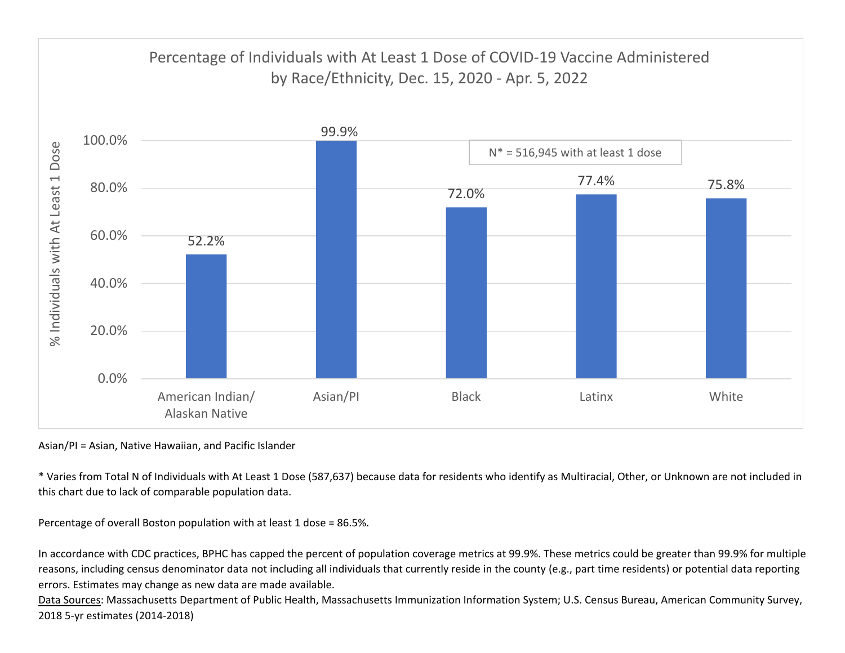

Asian/PI <sup>=</sup> Asian, Native Hawaiian, and Pacific Islander

\* Varies from Total N of Individuals with At Least 1 Dose (587,637) because data for residents who identify as Multiracial, Other, or Unknown are not included in this chart due to lack of comparable population data.

Percentage of overall Boston population with at least 1 dose <sup>=</sup> 86.5%.

In accordance with CDC practices, BPHC has capped the percent of population coverage metrics at 99.9%. These metrics could be greater than 99.9% for multiple reasons, including census denominator data not including all individuals that currently reside in the county (e.g., part time residents) or potential data reporting errors. Estimates may change as new data are made available.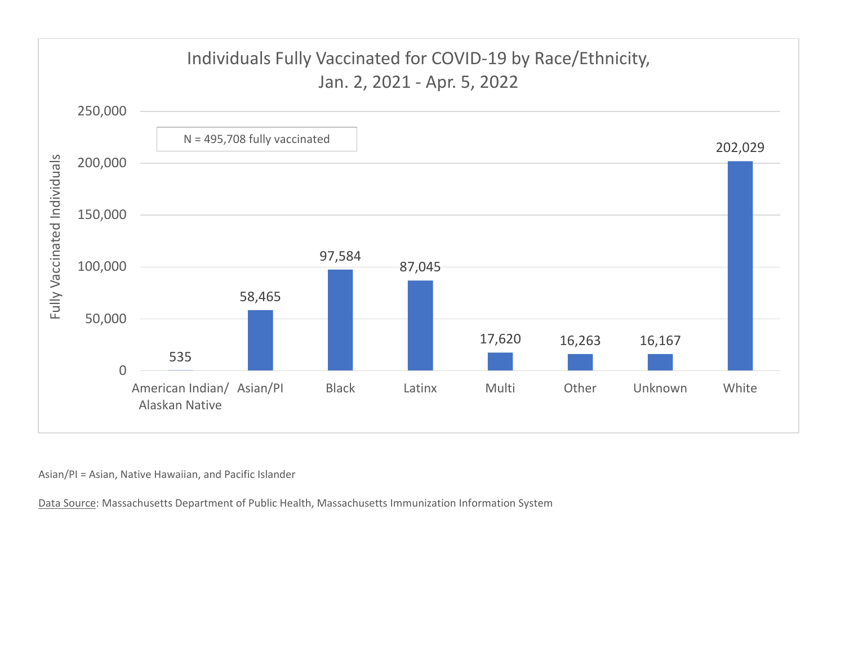

Asian/PI <sup>=</sup> Asian, Native Hawaiian, and Pacific Islander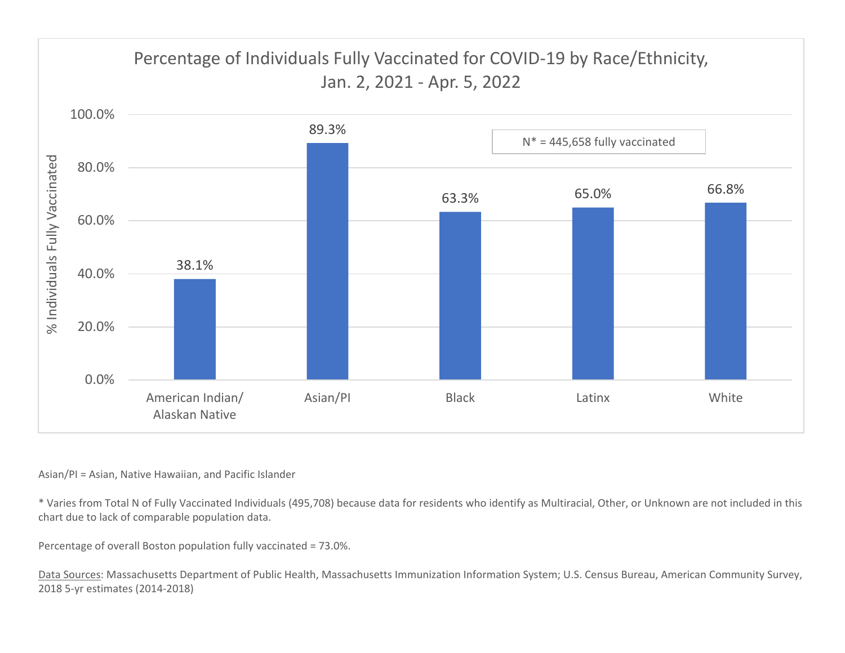

## Asian/PI <sup>=</sup> Asian, Native Hawaiian, and Pacific Islander

\* Varies from Total N of Fully Vaccinated Individuals (495,708) because data for residents who identify as Multiracial, Other, or Unknown are not included in this chart due to lack of comparable population data.

Percentage of overall Boston population fully vaccinated <sup>=</sup> 73.0%.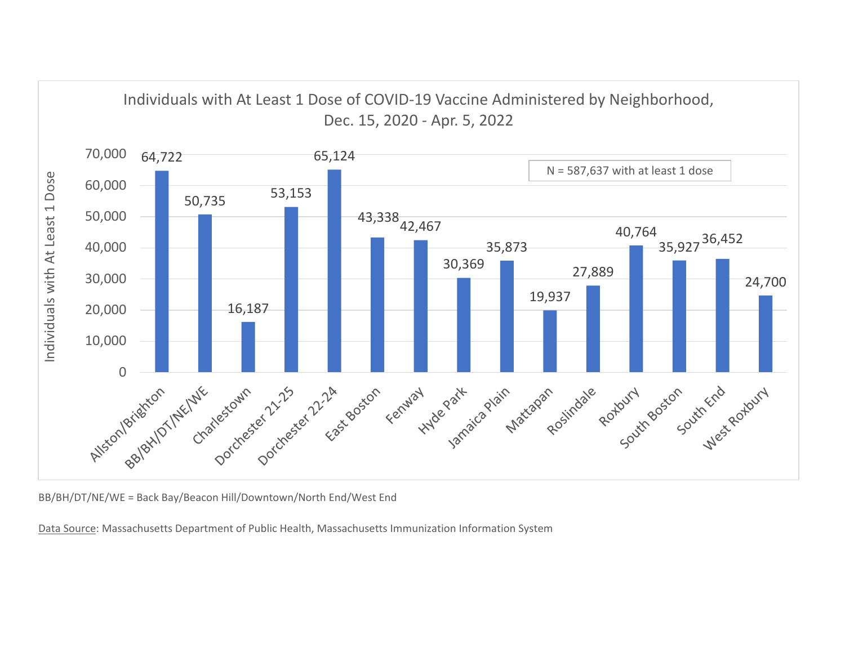

BB/BH/DT/NE/WE <sup>=</sup> Back Bay/Beacon Hill/Downtown/North End/West End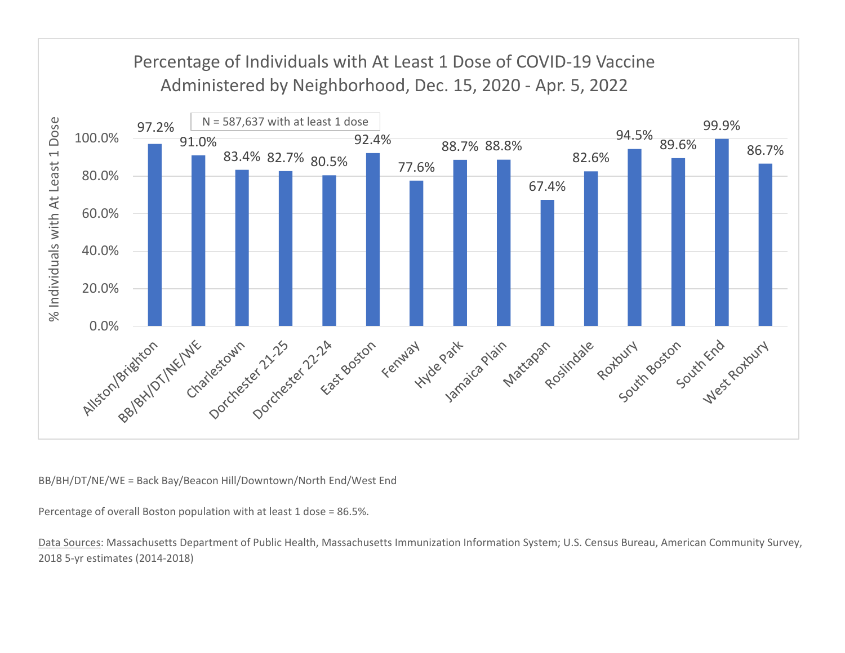

BB/BH/DT/NE/WE <sup>=</sup> Back Bay/Beacon Hill/Downtown/North End/West End

Percentage of overall Boston population with at least 1 dose <sup>=</sup> 86.5%.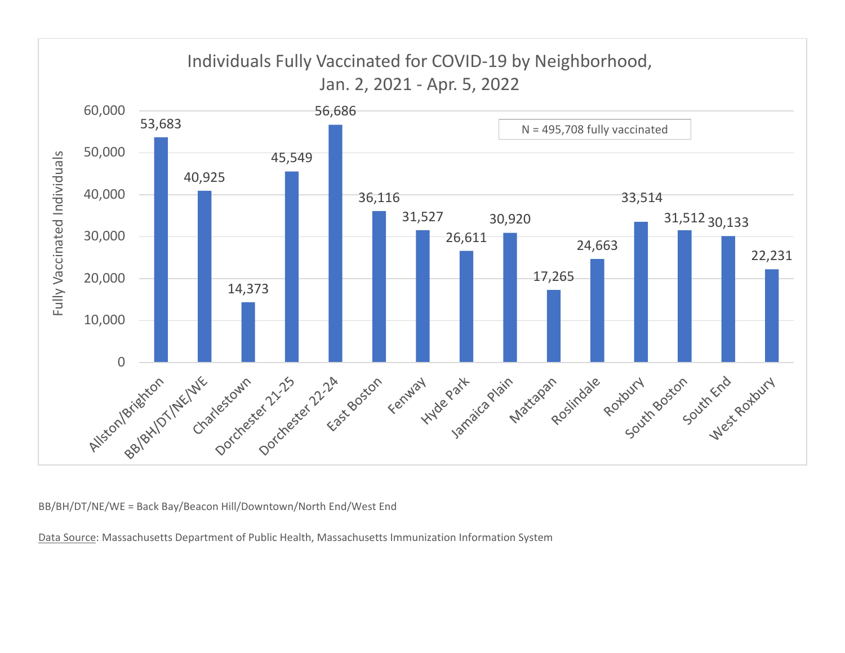

BB/BH/DT/NE/WE <sup>=</sup> Back Bay/Beacon Hill/Downtown/North End/West End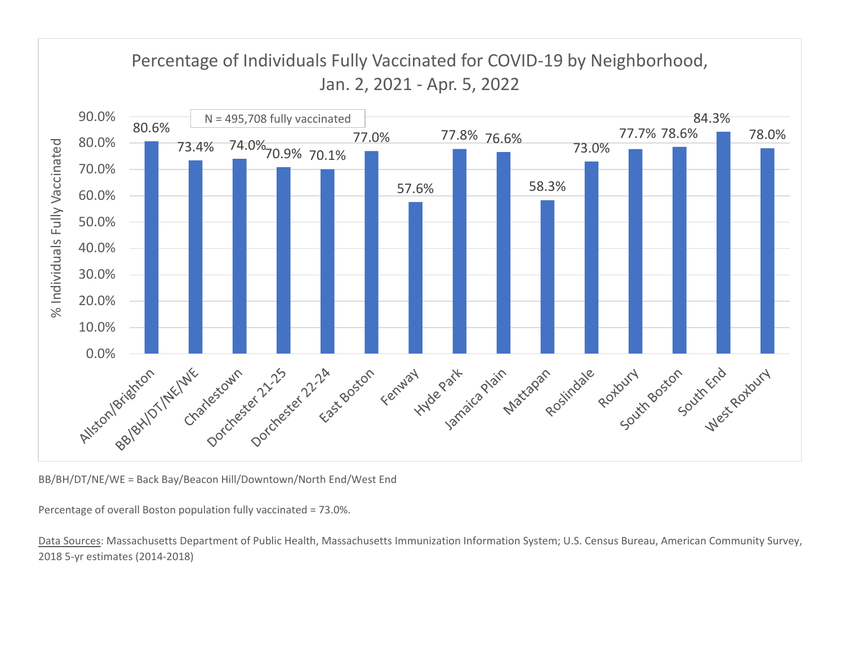

BB/BH/DT/NE/WE <sup>=</sup> Back Bay/Beacon Hill/Downtown/North End/West End

Percentage of overall Boston population fully vaccinated <sup>=</sup> 73.0%.